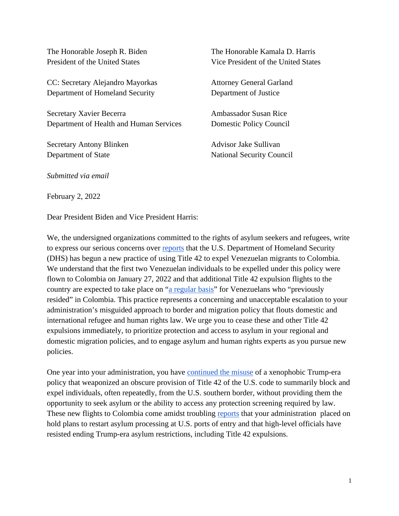The Honorable Joseph R. Biden President of the United States

CC: Secretary Alejandro Mayorkas Department of Homeland Security

Secretary Xavier Becerra Department of Health and Human Services

Secretary Antony Blinken Department of State

The Honorable Kamala D. Harris Vice President of the United States

Attorney General Garland Department of Justice

Ambassador Susan Rice Domestic Policy Council

Advisor Jake Sullivan National Security Council

*Submitted via email* 

February 2, 2022

Dear President Biden and Vice President Harris:

We, the undersigned organizations committed to the rights of asylum seekers and refugees, write to express our serious concerns over [reports](https://www.cnn.com/2022/01/31/politics/border-venezuela-colombia/index.html) that the U.S. Department of Homeland Security (DHS) has begun a new practice of using Title 42 to expel Venezuelan migrants to Colombia. We understand that the first two Venezuelan individuals to be expelled under this policy were flown to Colombia on January 27, 2022 and that additional Title 42 expulsion flights to the country are expected to take place on ["a regular basis"](https://twitter.com/camiloreports/status/1488226526038536196) for Venezuelans who "previously resided" in Colombia. This practice represents a concerning and unacceptable escalation to your administration's misguided approach to border and migration policy that flouts domestic and international refugee and human rights law. We urge you to cease these and other Title 42 expulsions immediately, to prioritize protection and access to asylum in your regional and domestic migration policies, and to engage asylum and human rights experts as you pursue new policies.

One year into your administration, you have [continued the misuse](https://www.vox.com/22893065/biden-family-separations-title-42-border-court) of a xenophobic Trump-era policy that weaponized an obscure provision of Title 42 of the U.S. code to summarily block and expel individuals, often repeatedly, from the U.S. southern border, without providing them the opportunity to seek asylum or the ability to access any protection screening required by law. These new flights to Colombia come amidst troubling [reports](https://www.newyorker.com/news/the-political-scene/the-disillusionment-of-a-young-biden-official) that your administration placed on hold plans to restart asylum processing at U.S. ports of entry and that high-level officials have resisted ending Trump-era asylum restrictions, including Title 42 expulsions.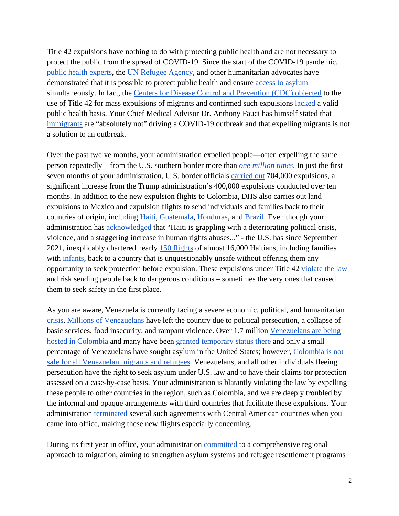Title 42 expulsions have nothing to do with protecting public health and are not necessary to protect the public from the spread of COVID-19. Since the start of the COVID-19 pandemic, [public health experts,](https://phr.org/our-work/resources/neither-safety-nor-health/) the [UN Refugee Agency,](https://www.unhcr.org/news/press/2021/8/6113dfc14/unhcr-concerned-expulsion-flights-under-covid-19-asylum-restrictions.html) and other humanitarian advocates have demonstrated that it is possible to protect public health and ensure [access to asylum](https://www.publichealth.columbia.edu/research/program-forced-migration-and-health/public-health-recommendations-processing-families-children-and-adults-seeking-asylum-or-other) simultaneously. In fact, the [Centers for Disease Control and Prevention \(CDC\) objected](https://apnews.com/article/virus-outbreak-pandemics-public-health-new-york-health-4ef0c6c5263815a26f8aa17f6ea490ae) to the use of Title 42 for mass expulsions of migrants and confirmed such expulsions [lacked](https://www.wsj.com/articles/cdc-officials-objected-to-order-turning-away-migrants-at-border-11601733601) a valid public health basis. Your Chief Medical Advisor Dr. Anthony Fauci has himself stated that [immigrants](https://www.forbes.com/sites/alisondurkee/2021/10/03/fauci-says-immigrants-are-absolutely-not-driving-covid-19-surge-lets-face-reality-here/?sh=274f011b173d) are "absolutely not" driving a COVID-19 outbreak and that expelling migrants is not a solution to an outbreak.

Over the past twelve months, your administration expelled people—often expelling the same person repeatedly—from the U.S. southern border more than *[one million times](https://www.cbp.gov/newsroom/stats/cbp-enforcement-statistics/title-8-and-title-42-statistics)*. In just the first seven months of your administration, U.S. border officials [carried out](https://www.cbsnews.com/news/immigration-title-42-border-policy-migrants-screened-us-protection/) 704,000 expulsions, a significant increase from the Trump administration's 400,000 expulsions conducted over ten months. In addition to the new expulsion flights to Colombia, DHS also carries out land expulsions to Mexico and expulsion flights to send individuals and families back to their countries of origin, including [Haiti,](https://www.theguardian.com/us-news/2021/oct/04/haitian-deportations-illegal-state-department-official-harold-koh) [Guatemala,](https://www.washingtonpost.com/world/2021/08/10/mexico-deport-guatemala/) [Honduras,](https://static1.squarespace.com/static/5e221cacff87ba2d2833cf54/t/61d39007020a5d713c988e78/1641254920060/ICE+Air+Dec+2021F_THCPDF.pdf) and [Brazil.](https://g1.globo.com/mg/minas-gerais/noticia/2022/01/26/voo-com-cerca-de-200-brasileiros-deportados-dos-eua-chega-nesta-quarta-feira-a-minas.ghtml) Even though your administration has [acknowledged](https://www.federalregister.gov/documents/2021/08/03/2021-16481/designation-of-haiti-for-temporary-protected-status) that "Haiti is grappling with a deteriorating political crisis, violence, and a staggering increase in human rights abuses..." - the U.S. has since September 2021, inexplicably chartered nearly [150 flights](https://docs.google.com/spreadsheets/d/1mvPiOvISRYTNEg7Mzk7nmZsk3PG0_jw4y8XVJ3oDMms/edit#gid=0) of almost 16,000 Haitians, including families with [infants,](https://thehill.com/latino/572588-advocates-in-utter-disbelief-after-biden-resumes-haitian-repatriations) back to a country that is unquestionably unsafe without offering them any opportunity to seek protection before expulsion. These expulsions under Title 42 [violate the law](https://www.politico.com/news/2021/09/16/biden-title-42-blocked-asylum-512271) and risk sending people back to dangerous conditions – sometimes the very ones that caused them to seek safety in the first place.

As you are aware, Venezuela is currently facing a severe economic, political, and humanitarian [crisis.](https://www.federalregister.gov/documents/2021/03/09/2021-04951/designation-of-venezuela-for-temporary-protected-status-and-implementation-of-employment) [Millions of Venezuelans](https://www.r4v.info/en/refugeeandmigrants) have left the country due to political persecution, a collapse of basic services, food insecurity, and rampant violence. Over 1.7 million [Venezuelans are being](https://oecd-development-matters.org/2021/05/05/understanding-migration-as-an-asset-the-colombian-case/)  [hosted in Colombia](https://oecd-development-matters.org/2021/05/05/understanding-migration-as-an-asset-the-colombian-case/) and many have been [granted temporary status there](https://www.npr.org/2021/02/09/965853031/colombia-offers-temporary-legal-status-to-nearly-1-million-venezuelan-migrants) and only a small percentage of Venezuelans have sought asylum in the United States; however, [Colombia is not](https://codhes.files.wordpress.com/2021/06/20210622_-bci_96_fnl-1.pdf)  [safe for all Venezuelan migrants and refugees.](https://codhes.files.wordpress.com/2021/06/20210622_-bci_96_fnl-1.pdf) Venezuelans, and all other individuals fleeing persecution have the right to seek asylum under U.S. law and to have their claims for protection assessed on a case-by-case basis. Your administration is blatantly violating the law by expelling these people to other countries in the region, such as Colombia, and we are deeply troubled by the informal and opaque arrangements with third countries that facilitate these expulsions. Your administration [terminated](https://www.npr.org/2021/02/06/964907437/biden-moves-to-end-trump-era-asylum-agreements-with-central-american-countries) several such agreements with Central American countries when you came into office, making these new flights especially concerning.

During its first year in office, your administration [committed](https://www.whitehouse.gov/briefing-room/statements-releases/2021/07/29/fact-sheet-the-collaborative-migration-management-strategy/) to a comprehensive regional approach to migration, aiming to strengthen asylum systems and refugee resettlement programs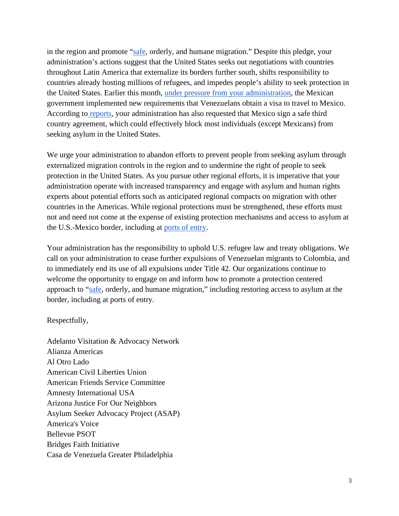in the region and promote ["safe,](https://www.state.gov/creating-a-comprehensive-framework-to-promote-safe-orderly-migration-in-north-and-central-america/) orderly, and humane migration." Despite this pledge, your administration's actions suggest that the United States seeks out negotiations with countries throughout Latin America that externalize its borders further south, shifts responsibility to countries already hosting millions of refugees, and impedes people's ability to seek protection in the United States. Earlier this month, [under pressure from your administration,](https://www.reuters.com/world/americas/mexico-formally-unveils-new-visa-requirements-venezuelans-2022-01-06/) the Mexican government implemented new requirements that Venezuelans obtain a visa to travel to Mexico. According to [reports,](https://www.cbsnews.com/news/immigration-biden-border-policies-trump-era/) your administration has also requested that Mexico sign a safe third country agreement, which could effectively block most individuals (except Mexicans) from seeking asylum in the United States.

We urge your administration to abandon efforts to prevent people from seeking asylum through externalized migration controls in the region and to undermine the right of people to seek protection in the United States. As you pursue other regional efforts, it is imperative that your administration operate with increased transparency and engage with asylum and human rights experts about potential efforts such as anticipated regional compacts on migration with other countries in the Americas. While regional protections must be strengthened, these efforts must not and need not come at the expense of existing protection mechanisms and access to asylum at the U.S.-Mexico border, including at [ports of entry.](https://www.womensrefugeecommission.org/wp-content/uploads/2021/10/Restoring-Access-Asylum-Safely-Reopening-Ports-of-Entry-US-Mexico-Border.pdf)

Your administration has the responsibility to uphold U.S. refugee law and treaty obligations. We call on your administration to cease further expulsions of Venezuelan migrants to Colombia, and to immediately end its use of all expulsions under Title 42. Our organizations continue to welcome the opportunity to engage on and inform how to promote a protection centered approach to ["safe,](https://www.state.gov/creating-a-comprehensive-framework-to-promote-safe-orderly-migration-in-north-and-central-america/) orderly, and humane migration," including restoring access to asylum at the border, including at ports of entry.

## Respectfully,

Adelanto Visitation & Advocacy Network Alianza Americas Al Otro Lado American Civil Liberties Union American Friends Service Committee Amnesty International USA Arizona Justice For Our Neighbors Asylum Seeker Advocacy Project (ASAP) America's Voice Bellevue PSOT Bridges Faith Initiative Casa de Venezuela Greater Philadelphia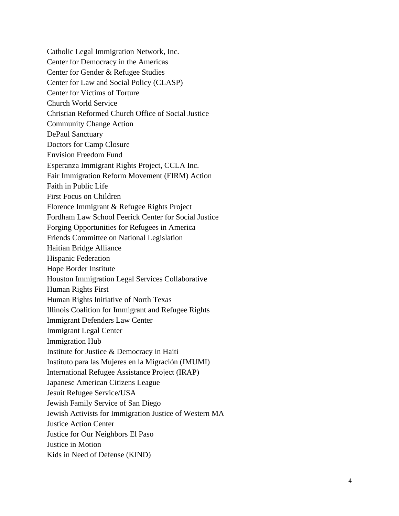Catholic Legal Immigration Network, Inc. Center for Democracy in the Americas Center for Gender & Refugee Studies Center for Law and Social Policy (CLASP) Center for Victims of Torture Church World Service Christian Reformed Church Office of Social Justice Community Change Action DePaul Sanctuary Doctors for Camp Closure Envision Freedom Fund Esperanza Immigrant Rights Project, CCLA Inc. Fair Immigration Reform Movement (FIRM) Action Faith in Public Life First Focus on Children Florence Immigrant & Refugee Rights Project Fordham Law School Feerick Center for Social Justice Forging Opportunities for Refugees in America Friends Committee on National Legislation Haitian Bridge Alliance Hispanic Federation Hope Border Institute Houston Immigration Legal Services Collaborative Human Rights First Human Rights Initiative of North Texas Illinois Coalition for Immigrant and Refugee Rights Immigrant Defenders Law Center Immigrant Legal Center Immigration Hub Institute for Justice & Democracy in Haiti Instituto para las Mujeres en la Migración (IMUMI) International Refugee Assistance Project (IRAP) Japanese American Citizens League Jesuit Refugee Service/USA Jewish Family Service of San Diego Jewish Activists for Immigration Justice of Western MA Justice Action Center Justice for Our Neighbors El Paso Justice in Motion Kids in Need of Defense (KIND)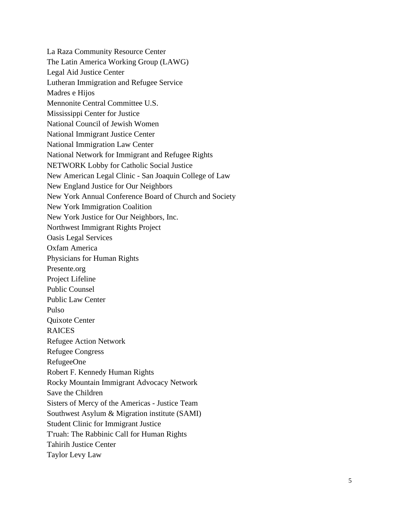La Raza Community Resource Center The Latin America Working Group (LAWG) Legal Aid Justice Center Lutheran Immigration and Refugee Service Madres e Hijos Mennonite Central Committee U.S. Mississippi Center for Justice National Council of Jewish Women National Immigrant Justice Center National Immigration Law Center National Network for Immigrant and Refugee Rights NETWORK Lobby for Catholic Social Justice New American Legal Clinic - San Joaquin College of Law New England Justice for Our Neighbors New York Annual Conference Board of Church and Society New York Immigration Coalition New York Justice for Our Neighbors, Inc. Northwest Immigrant Rights Project Oasis Legal Services Oxfam America Physicians for Human Rights Presente.org Project Lifeline Public Counsel Public Law Center Pulso Quixote Center RAICES Refugee Action Network Refugee Congress RefugeeOne Robert F. Kennedy Human Rights Rocky Mountain Immigrant Advocacy Network Save the Children Sisters of Mercy of the Americas - Justice Team Southwest Asylum & Migration institute (SAMI) Student Clinic for Immigrant Justice T'ruah: The Rabbinic Call for Human Rights Tahirih Justice Center Taylor Levy Law